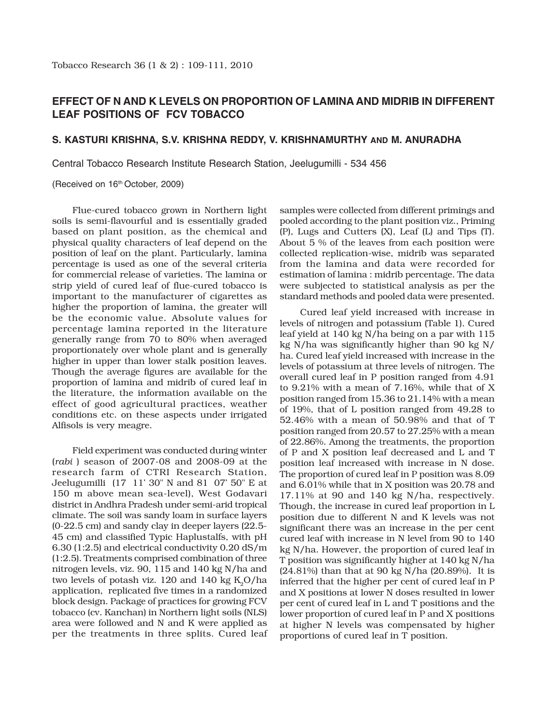## **EFFECT OF N AND K LEVELS ON PROPORTION OF LAMINA AND MIDRIB IN DIFFERENT LEAF POSITIONS OF FCV TOBACCO**

## **S. KASTURI KRISHNA, S.V. KRISHNA REDDY, V. KRISHNAMURTHY AND M. ANURADHA**

Central Tobacco Research Institute Research Station, Jeelugumilli - 534 456

(Received on 16<sup>th</sup> October, 2009)

Flue-cured tobacco grown in Northern light soils is semi-flavourful and is essentially graded based on plant position, as the chemical and physical quality characters of leaf depend on the position of leaf on the plant. Particularly, lamina percentage is used as one of the several criteria for commercial release of varieties. The lamina or strip yield of cured leaf of flue-cured tobacco is important to the manufacturer of cigarettes as higher the proportion of lamina, the greater will be the economic value. Absolute values for percentage lamina reported in the literature generally range from 70 to 80% when averaged proportionately over whole plant and is generally higher in upper than lower stalk position leaves. Though the average figures are available for the proportion of lamina and midrib of cured leaf in the literature, the information available on the effect of good agricultural practices, weather conditions etc. on these aspects under irrigated Alfisols is very meagre.

Field experiment was conducted during winter (*rabi* ) season of 2007-08 and 2008-09 at the research farm of CTRI Research Station, Jeelugumilli (17° 11' 30" N and 81° 07' 50" E at 150 m above mean sea-level), West Godavari district in Andhra Pradesh under semi-arid tropical climate. The soil was sandy loam in surface layers (0-22.5 cm) and sandy clay in deeper layers (22.5- 45 cm) and classified Typic Haplustalfs, with pH 6.30 (1:2.5) and electrical conductivity 0.20 dS/m (1:2.5). Treatments comprised combination of three nitrogen levels, viz. 90, 115 and 140 kg N/ha and two levels of potash viz. 120 and 140 kg  $K_0O/ha$ application, replicated five times in a randomized block design. Package of practices for growing FCV tobacco (cv. Kanchan) in Northern light soils (NLS) area were followed and N and K were applied as per the treatments in three splits. Cured leaf

samples were collected from different primings and pooled according to the plant position viz., Priming (P), Lugs and Cutters (X), Leaf (L) and Tips (T). About 5 % of the leaves from each position were collected replication-wise, midrib was separated from the lamina and data were recorded for estimation of lamina : midrib percentage. The data were subjected to statistical analysis as per the standard methods and pooled data were presented.

Cured leaf yield increased with increase in levels of nitrogen and potassium (Table 1). Cured leaf yield at 140 kg N/ha being on a par with 115 kg N/ha was significantly higher than 90 kg N/ ha. Cured leaf yield increased with increase in the levels of potassium at three levels of nitrogen. The overall cured leaf in P position ranged from 4.91 to 9.21% with a mean of 7.16%, while that of X position ranged from 15.36 to 21.14% with a mean of 19%, that of L position ranged from 49.28 to 52.46% with a mean of 50.98% and that of T position ranged from 20.57 to 27.25% with a mean of 22.86%. Among the treatments, the proportion of P and X position leaf decreased and L and T position leaf increased with increase in N dose. The proportion of cured leaf in P position was 8.09 and 6.01% while that in X position was 20.78 and 17.11% at 90 and 140 kg N/ha, respectively. Though, the increase in cured leaf proportion in L position due to different N and K levels was not significant there was an increase in the per cent cured leaf with increase in N level from 90 to 140 kg N/ha. However, the proportion of cured leaf in T position was significantly higher at 140 kg N/ha (24.81%) than that at 90 kg N/ha (20.89%). It is inferred that the higher per cent of cured leaf in P and X positions at lower N doses resulted in lower per cent of cured leaf in L and T positions and the lower proportion of cured leaf in P and X positions at higher N levels was compensated by higher proportions of cured leaf in T position.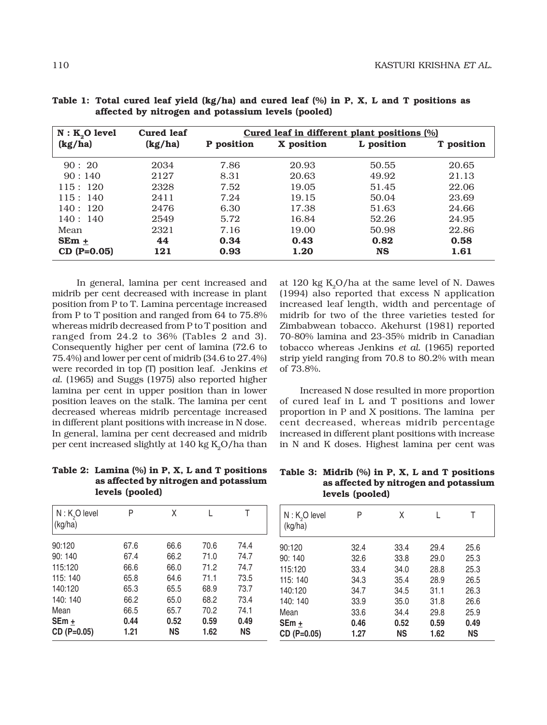| $N: K_2O$ level | <b>Cured leaf</b> | Cured leaf in different plant positions (%) |            |            |                   |
|-----------------|-------------------|---------------------------------------------|------------|------------|-------------------|
| (kg/ha)         | (kg/ha)           | P position                                  | X position | L position | <b>T</b> position |
| 90:20           | 2034              | 7.86                                        | 20.93      | 50.55      | 20.65             |
| 90:140          | 2127              | 8.31                                        | 20.63      | 49.92      | 21.13             |
| 115:120         | 2328              | 7.52                                        | 19.05      | 51.45      | 22.06             |
| 115:140         | 2411              | 7.24                                        | 19.15      | 50.04      | 23.69             |
| 140:120         | 2476              | 6.30                                        | 17.38      | 51.63      | 24.66             |
| 140:140         | 2549              | 5.72                                        | 16.84      | 52.26      | 24.95             |
| Mean            | 2321              | 7.16                                        | 19.00      | 50.98      | 22.86             |
| $SEm +$         | 44                | 0.34                                        | 0.43       | 0.82       | 0.58              |
| $CD (P=0.05)$   | 121               | 0.93                                        | 1.20       | <b>NS</b>  | 1.61              |

**Table 1: Total cured leaf yield (kg/ha) and cured leaf (%) in P, X, L and T positions as affected by nitrogen and potassium levels (pooled)**

 In general, lamina per cent increased and midrib per cent decreased with increase in plant position from P to T. Lamina percentage increased from P to T position and ranged from 64 to 75.8% whereas midrib decreased from P to T position and ranged from 24.2 to 36% (Tables 2 and 3). Consequently higher per cent of lamina (72.6 to 75.4%) and lower per cent of midrib (34.6 to 27.4%) were recorded in top (T) position leaf. Jenkins *et al*. (1965) and Suggs (1975) also reported higher lamina per cent in upper position than in lower position leaves on the stalk. The lamina per cent decreased whereas midrib percentage increased in different plant positions with increase in N dose. In general, lamina per cent decreased and midrib per cent increased slightly at  $140 \text{ kg K}_{0}O/h$ a than

**Table 2: Lamina (%) in P, X, L and T positions as affected by nitrogen and potassium levels (pooled)**

| $N: K2O$ level<br>(kg/ha) | P    | χ         |      | Τ         |
|---------------------------|------|-----------|------|-----------|
| 90:120                    | 67.6 | 66.6      | 70.6 | 74.4      |
| 90:140                    | 67.4 | 66.2      | 71.0 | 74.7      |
| 115:120                   | 66.6 | 66.0      | 71.2 | 74.7      |
| 115: 140                  | 65.8 | 64.6      | 71.1 | 73.5      |
| 140:120                   | 65.3 | 65.5      | 68.9 | 73.7      |
| 140: 140                  | 66.2 | 65.0      | 68.2 | 73.4      |
| Mean                      | 66.5 | 65.7      | 70.2 | 74.1      |
| $SEm +$                   | 0.44 | 0.52      | 0.59 | 0.49      |
| CD (P=0.05)               | 1.21 | <b>NS</b> | 1.62 | <b>NS</b> |

at 120 kg  $K_0O/ha$  at the same level of N. Dawes (1994) also reported that excess N application increased leaf length, width and percentage of midrib for two of the three varieties tested for Zimbabwean tobacco. Akehurst (1981) reported 70-80% lamina and 23-35% midrib in Canadian tobacco whereas Jenkins *et al.* (1965) reported strip yield ranging from 70.8 to 80.2% with mean of 73.8%.

Increased N dose resulted in more proportion of cured leaf in L and T positions and lower proportion in P and X positions. The lamina per cent decreased, whereas midrib percentage increased in different plant positions with increase in N and K doses. Highest lamina per cent was

**Table 3: Midrib (%) in P, X, L and T positions as affected by nitrogen and potassium levels (pooled)**

| $N: K2O$ level<br>(kg/ha) | Ρ    | χ         | L    | Τ         |
|---------------------------|------|-----------|------|-----------|
| 90:120                    | 32.4 | 33.4      | 29.4 | 25.6      |
| 90:140                    | 32.6 | 33.8      | 29.0 | 25.3      |
| 115:120                   | 33.4 | 34.0      | 28.8 | 25.3      |
| 115: 140                  | 34.3 | 35.4      | 28.9 | 26.5      |
| 140:120                   | 34.7 | 34.5      | 31.1 | 26.3      |
| 140: 140                  | 33.9 | 35.0      | 31.8 | 26.6      |
| Mean                      | 33.6 | 34.4      | 29.8 | 25.9      |
| SEm +                     | 0.46 | 0.52      | 0.59 | 0.49      |
| CD (P=0.05)               | 1.27 | <b>NS</b> | 1.62 | <b>NS</b> |